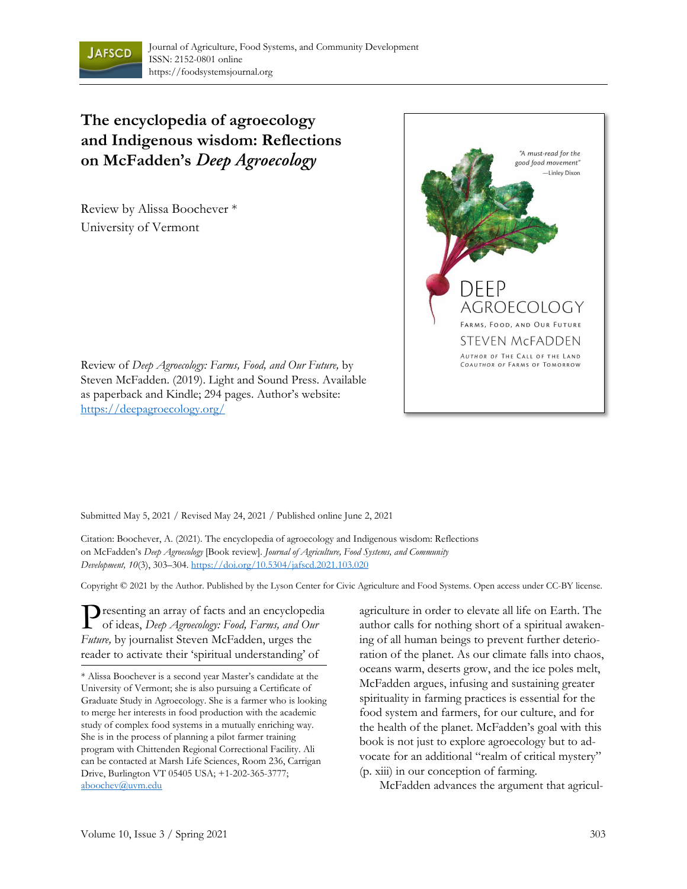

## **The encyclopedia of agroecology and Indigenous wisdom: Reflections on McFadden's** *Deep Agroecology*

Review by Alissa Boochever \* University of Vermont



Review of *Deep Agroecology: Farms, Food, and Our Future,* by Steven McFadden. (2019). Light and Sound Press. Available as paperback and Kindle; 294 pages. Author's website: https://deepagroecology.org/

Submitted May 5, 2021 / Revised May 24, 2021 / Published online June 2, 2021

Citation: Boochever, A. (2021). The encyclopedia of agroecology and Indigenous wisdom: Reflections on McFadden's *Deep Agroecology* [Book review]. *Journal of Agriculture, Food Systems, and Community Development, 10*(3), 303–304. https://doi.org/10.5304/jafscd.2021.103.020

Copyright © 2021 by the Author. Published by the Lyson Center for Civic Agriculture and Food Systems. Open access under CC-BY license.

Presenting an array of facts and an encyclopedia<br>of ideas, Deep Agroecology: Food, Farms, and Our of ideas, *Deep Agroecology: Food, Farms, and Our Future,* by journalist Steven McFadden, urges the reader to activate their 'spiritual understanding' of

agriculture in order to elevate all life on Earth. The author calls for nothing short of a spiritual awakening of all human beings to prevent further deterioration of the planet. As our climate falls into chaos, oceans warm, deserts grow, and the ice poles melt, McFadden argues, infusing and sustaining greater spirituality in farming practices is essential for the food system and farmers, for our culture, and for the health of the planet. McFadden's goal with this book is not just to explore agroecology but to advocate for an additional "realm of critical mystery" (p. xiii) in our conception of farming.

McFadden advances the argument that agricul-

<sup>\*</sup> Alissa Boochever is a second year Master's candidate at the University of Vermont; she is also pursuing a Certificate of Graduate Study in Agroecology. She is a farmer who is looking to merge her interests in food production with the academic study of complex food systems in a mutually enriching way. She is in the process of planning a pilot farmer training program with Chittenden Regional Correctional Facility. Ali can be contacted at Marsh Life Sciences, Room 236, Carrigan Drive, Burlington VT 05405 USA; +1-202-365-3777; aboochev@uvm.edu